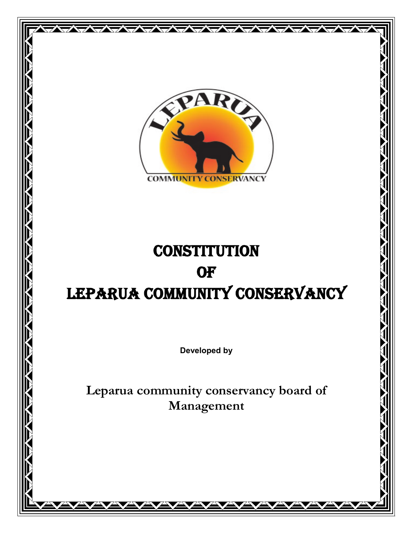

WWW

# **CONSTITUTION OF** LEPARUA COMMUNITY CONSERVANCY

**Developed by**

**Leparua community conservancy board of Management**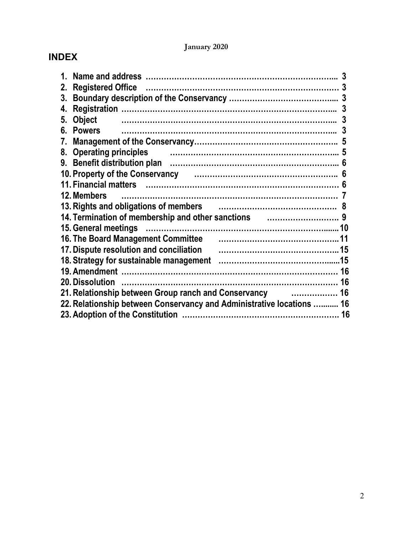# **January 2020**

# **INDEX**

|    |                                                                                                                             | 3  |
|----|-----------------------------------------------------------------------------------------------------------------------------|----|
| 2. | <b>Registered Office</b>                                                                                                    | 3  |
| 3. |                                                                                                                             |    |
| 4. |                                                                                                                             | 3  |
| 5. | <b>Object</b>                                                                                                               | 3  |
| 6. | <b>Powers</b>                                                                                                               |    |
| 7. |                                                                                                                             |    |
| 8. | <b>Operating principles</b>                                                                                                 |    |
| 9. |                                                                                                                             |    |
|    | 10. Property of the Conservancy <b>constant of the Conservance Constant Conservance Conservance Conservance Conservance</b> | 6  |
|    | 11. Financial matters (all all all all all all all alternative matter and the set of the set of the set of the              |    |
|    | 12. Members                                                                                                                 |    |
|    | 13. Rights and obligations of members                                                                                       |    |
|    | 14. Termination of membership and other sanctions <b>constantly contained</b> 9                                             |    |
|    | 15. General meetings                                                                                                        |    |
|    | <b>16. The Board Management Committee</b>                                                                                   |    |
|    | 17. Dispute resolution and conciliation                                                                                     |    |
|    |                                                                                                                             |    |
|    |                                                                                                                             |    |
|    | <b>20. Dissolution</b>                                                                                                      | 16 |
|    | 21. Relationship between Group ranch and Conservancy<br>. 16                                                                |    |
|    | 22. Relationship between Conservancy and Administrative locations  16                                                       |    |
|    |                                                                                                                             | 16 |
|    |                                                                                                                             |    |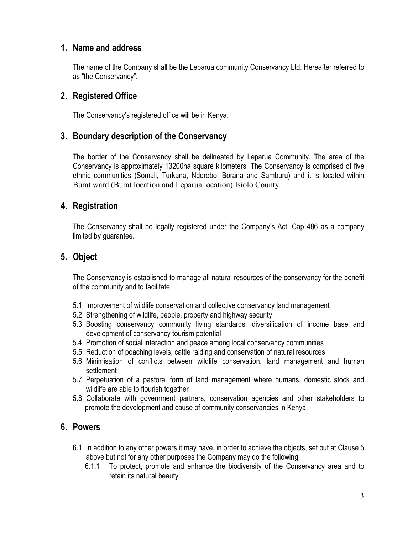# **1. Name and address**

The name of the Company shall be the Leparua community Conservancy Ltd. Hereafter referred to as "the Conservancy".

# **2. Registered Office**

The Conservancy's registered office will be in Kenya.

# **3. Boundary description of the Conservancy**

The border of the Conservancy shall be delineated by Leparua Community. The area of the Conservancy is approximately 13200ha square kilometers. The Conservancy is comprised of five ethnic communities (Somali, Turkana, Ndorobo, Borana and Samburu) and it is located within Burat ward (Burat location and Leparua location) Isiolo County.

# **4. Registration**

The Conservancy shall be legally registered under the Company's Act, Cap 486 as a company limited by guarantee.

# **5. Object**

The Conservancy is established to manage all natural resources of the conservancy for the benefit of the community and to facilitate:

- 5.1 Improvement of wildlife conservation and collective conservancy land management
- 5.2 Strengthening of wildlife, people, property and highway security
- 5.3 Boosting conservancy community living standards, diversification of income base and development of conservancy tourism potential
- 5.4 Promotion of social interaction and peace among local conservancy communities
- 5.5 Reduction of poaching levels, cattle raiding and conservation of natural resources
- 5.6 Minimisation of conflicts between wildlife conservation, land management and human settlement
- 5.7 Perpetuation of a pastoral form of land management where humans, domestic stock and wildlife are able to flourish together
- 5.8 Collaborate with government partners, conservation agencies and other stakeholders to promote the development and cause of community conservancies in Kenya.

# **6. Powers**

- 6.1 In addition to any other powers it may have, in order to achieve the objects, set out at Clause 5 above but not for any other purposes the Company may do the following:
	- 6.1.1 To protect, promote and enhance the biodiversity of the Conservancy area and to retain its natural beauty;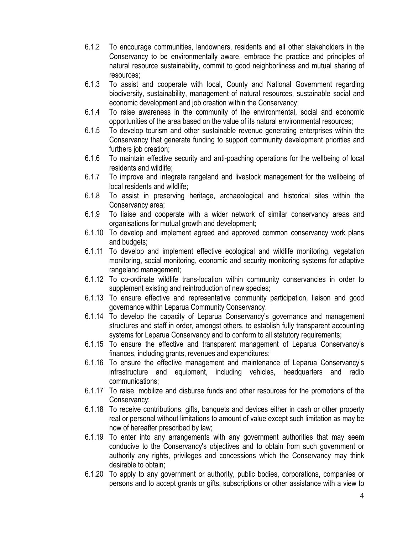- 6.1.2 To encourage communities, landowners, residents and all other stakeholders in the Conservancy to be environmentally aware, embrace the practice and principles of natural resource sustainability, commit to good neighborliness and mutual sharing of resources;
- 6.1.3 To assist and cooperate with local, County and National Government regarding biodiversity, sustainability, management of natural resources, sustainable social and economic development and job creation within the Conservancy;
- 6.1.4 To raise awareness in the community of the environmental, social and economic opportunities of the area based on the value of its natural environmental resources;
- 6.1.5 To develop tourism and other sustainable revenue generating enterprises within the Conservancy that generate funding to support community development priorities and furthers job creation;
- 6.1.6 To maintain effective security and anti-poaching operations for the wellbeing of local residents and wildlife;
- 6.1.7 To improve and integrate rangeland and livestock management for the wellbeing of local residents and wildlife;
- 6.1.8 To assist in preserving heritage, archaeological and historical sites within the Conservancy area;
- 6.1.9 To liaise and cooperate with a wider network of similar conservancy areas and organisations for mutual growth and development;
- 6.1.10 To develop and implement agreed and approved common conservancy work plans and budgets;
- 6.1.11 To develop and implement effective ecological and wildlife monitoring, vegetation monitoring, social monitoring, economic and security monitoring systems for adaptive rangeland management;
- 6.1.12 To co-ordinate wildlife trans-location within community conservancies in order to supplement existing and reintroduction of new species;
- 6.1.13 To ensure effective and representative community participation, liaison and good governance within Leparua Community Conservancy.
- 6.1.14 To develop the capacity of Leparua Conservancy's governance and management structures and staff in order, amongst others, to establish fully transparent accounting systems for Leparua Conservancy and to conform to all statutory requirements;
- 6.1.15 To ensure the effective and transparent management of Leparua Conservancy's finances, including grants, revenues and expenditures;
- 6.1.16 To ensure the effective management and maintenance of Leparua Conservancy's infrastructure and equipment, including vehicles, headquarters and radio communications;
- 6.1.17 To raise, mobilize and disburse funds and other resources for the promotions of the Conservancy;
- 6.1.18 To receive contributions, gifts, banquets and devices either in cash or other property real or personal without limitations to amount of value except such limitation as may be now of hereafter prescribed by law;
- 6.1.19 To enter into any arrangements with any government authorities that may seem conducive to the Conservancy's objectives and to obtain from such government or authority any rights, privileges and concessions which the Conservancy may think desirable to obtain;
- 6.1.20 To apply to any government or authority, public bodies, corporations, companies or persons and to accept grants or gifts, subscriptions or other assistance with a view to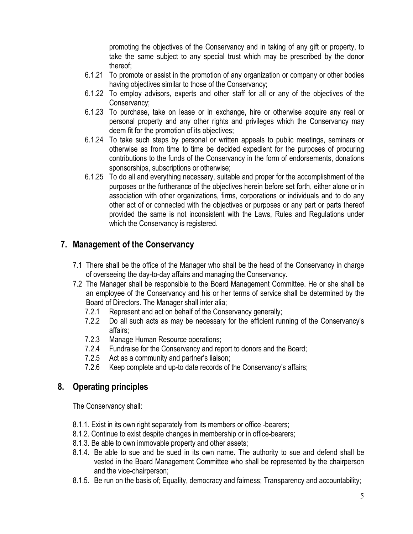promoting the objectives of the Conservancy and in taking of any gift or property, to take the same subject to any special trust which may be prescribed by the donor thereof;

- 6.1.21 To promote or assist in the promotion of any organization or company or other bodies having objectives similar to those of the Conservancy;
- 6.1.22 To employ advisors, experts and other staff for all or any of the objectives of the Conservancy;
- 6.1.23 To purchase, take on lease or in exchange, hire or otherwise acquire any real or personal property and any other rights and privileges which the Conservancy may deem fit for the promotion of its objectives;
- 6.1.24 To take such steps by personal or written appeals to public meetings, seminars or otherwise as from time to time be decided expedient for the purposes of procuring contributions to the funds of the Conservancy in the form of endorsements, donations sponsorships, subscriptions or otherwise;
- 6.1.25 To do all and everything necessary, suitable and proper for the accomplishment of the purposes or the furtherance of the objectives herein before set forth, either alone or in association with other organizations, firms, corporations or individuals and to do any other act of or connected with the objectives or purposes or any part or parts thereof provided the same is not inconsistent with the Laws, Rules and Regulations under which the Conservancy is registered.

# **7. Management of the Conservancy**

- 7.1 There shall be the office of the Manager who shall be the head of the Conservancy in charge of overseeing the day-to-day affairs and managing the Conservancy.
- 7.2 The Manager shall be responsible to the Board Management Committee. He or she shall be an employee of the Conservancy and his or her terms of service shall be determined by the Board of Directors. The Manager shall inter alia;
	- 7.2.1 Represent and act on behalf of the Conservancy generally;
	- 7.2.2 Do all such acts as may be necessary for the efficient running of the Conservancy's affairs;
	- 7.2.3 Manage Human Resource operations;
	- 7.2.4 Fundraise for the Conservancy and report to donors and the Board;
	- 7.2.5 Act as a community and partner's liaison;
	- 7.2.6 Keep complete and up-to date records of the Conservancy's affairs;

# **8. Operating principles**

The Conservancy shall:

- 8.1.1. Exist in its own right separately from its members or office -bearers;
- 8.1.2. Continue to exist despite changes in membership or in office-bearers;
- 8.1.3. Be able to own immovable property and other assets;
- 8.1.4. Be able to sue and be sued in its own name. The authority to sue and defend shall be vested in the Board Management Committee who shall be represented by the chairperson and the vice-chairperson;
- 8.1.5. Be run on the basis of; Equality, democracy and fairness; Transparency and accountability;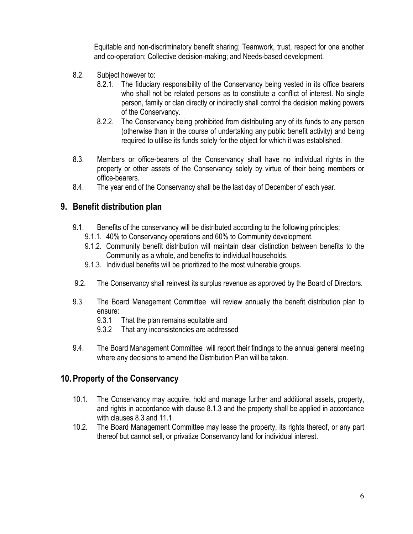Equitable and non-discriminatory benefit sharing; Teamwork, trust, respect for one another and co-operation; Collective decision-making; and Needs-based development.

- 8.2. Subject however to:
	- 8.2.1. The fiduciary responsibility of the Conservancy being vested in its office bearers who shall not be related persons as to constitute a conflict of interest. No single person, family or clan directly or indirectly shall control the decision making powers of the Conservancy.
	- 8.2.2. The Conservancy being prohibited from distributing any of its funds to any person (otherwise than in the course of undertaking any public benefit activity) and being required to utilise its funds solely for the object for which it was established.
- 8.3. Members or office-bearers of the Conservancy shall have no individual rights in the property or other assets of the Conservancy solely by virtue of their being members or office-bearers.
- 8.4. The year end of the Conservancy shall be the last day of December of each year.

# **9. Benefit distribution plan**

- 9.1. Benefits of the conservancy will be distributed according to the following principles;
	- 9.1.1. 40% to Conservancy operations and 60% to Community development.
	- 9.1.2. Community benefit distribution will maintain clear distinction between benefits to the Community as a whole, and benefits to individual households.
	- 9.1.3. Individual benefits will be prioritized to the most vulnerable groups.
- 9.2. The Conservancy shall reinvest its surplus revenue as approved by the Board of Directors.
- 9.3. The Board Management Committee will review annually the benefit distribution plan to ensure:
	- 9.3.1 That the plan remains equitable and
	- 9.3.2 That any inconsistencies are addressed
- 9.4. The Board Management Committee will report their findings to the annual general meeting where any decisions to amend the Distribution Plan will be taken.

### **10. Property of the Conservancy**

- 10.1. The Conservancy may acquire, hold and manage further and additional assets, property, and rights in accordance with clause 8.1.3 and the property shall be applied in accordance with clauses 8.3 and 11.1.
- 10.2. The Board Management Committee may lease the property, its rights thereof, or any part thereof but cannot sell, or privatize Conservancy land for individual interest.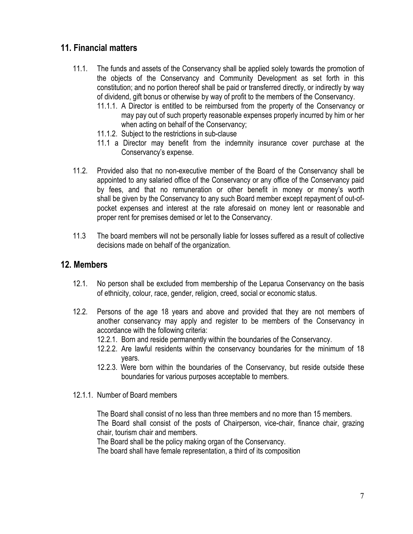# **11. Financial matters**

- 11.1. The funds and assets of the Conservancy shall be applied solely towards the promotion of the objects of the Conservancy and Community Development as set forth in this constitution; and no portion thereof shall be paid or transferred directly, or indirectly by way of dividend, gift bonus or otherwise by way of profit to the members of the Conservancy.
	- 11.1.1. A Director is entitled to be reimbursed from the property of the Conservancy or may pay out of such property reasonable expenses properly incurred by him or her when acting on behalf of the Conservancy;
	- 11.1.2. Subject to the restrictions in sub-clause
	- 11.1 a Director may benefit from the indemnity insurance cover purchase at the Conservancy's expense.
- 11.2. Provided also that no non-executive member of the Board of the Conservancy shall be appointed to any salaried office of the Conservancy or any office of the Conservancy paid by fees, and that no remuneration or other benefit in money or money's worth shall be given by the Conservancy to any such Board member except repayment of out-ofpocket expenses and interest at the rate aforesaid on money lent or reasonable and proper rent for premises demised or let to the Conservancy.
- 11.3 The board members will not be personally liable for losses suffered as a result of collective decisions made on behalf of the organization.

## **12. Members**

- 12.1. No person shall be excluded from membership of the Leparua Conservancy on the basis of ethnicity, colour, race, gender, religion, creed, social or economic status.
- 12.2. Persons of the age 18 years and above and provided that they are not members of another conservancy may apply and register to be members of the Conservancy in accordance with the following criteria:
	- 12.2.1. Born and reside permanently within the boundaries of the Conservancy.
	- 12.2.2. Are lawful residents within the conservancy boundaries for the minimum of 18 years.
	- 12.2.3. Were born within the boundaries of the Conservancy, but reside outside these boundaries for various purposes acceptable to members.
- 12.1.1. Number of Board members

The Board shall consist of no less than three members and no more than 15 members. The Board shall consist of the posts of Chairperson, vice-chair, finance chair, grazing chair, tourism chair and members.

The Board shall be the policy making organ of the Conservancy.

The board shall have female representation, a third of its composition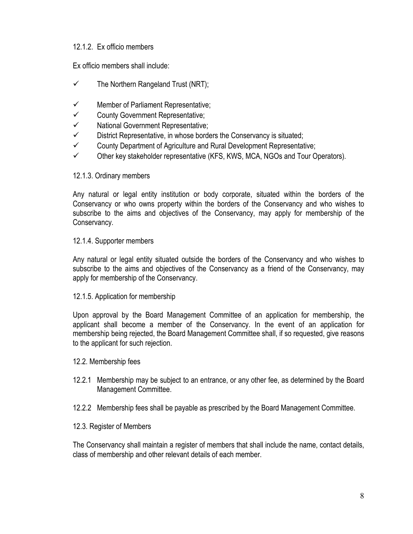#### 12.1.2. Ex officio members

Ex officio members shall include:

- $\checkmark$  The Northern Rangeland Trust (NRT);
- $\checkmark$  Member of Parliament Representative;
- $\checkmark$  County Government Representative;
- $\checkmark$  National Government Representative;
- $\checkmark$  District Representative, in whose borders the Conservancy is situated;
- $\checkmark$  County Department of Agriculture and Rural Development Representative;
- $\checkmark$  Other key stakeholder representative (KFS, KWS, MCA, NGOs and Tour Operators).

#### 12.1.3. Ordinary members

Any natural or legal entity institution or body corporate, situated within the borders of the Conservancy or who owns property within the borders of the Conservancy and who wishes to subscribe to the aims and objectives of the Conservancy, may apply for membership of the Conservancy.

#### 12.1.4. Supporter members

Any natural or legal entity situated outside the borders of the Conservancy and who wishes to subscribe to the aims and objectives of the Conservancy as a friend of the Conservancy, may apply for membership of the Conservancy.

#### 12.1.5. Application for membership

Upon approval by the Board Management Committee of an application for membership, the applicant shall become a member of the Conservancy. In the event of an application for membership being rejected, the Board Management Committee shall, if so requested, give reasons to the applicant for such rejection.

- 12.2. Membership fees
- 12.2.1 Membership may be subject to an entrance, or any other fee, as determined by the Board Management Committee.
- 12.2.2 Membership fees shall be payable as prescribed by the Board Management Committee.
- 12.3. Register of Members

The Conservancy shall maintain a register of members that shall include the name, contact details, class of membership and other relevant details of each member.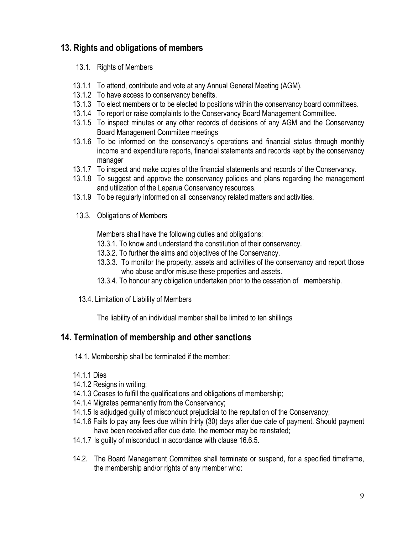# **13. Rights and obligations of members**

- 13.1. Rights of Members
- 13.1.1 To attend, contribute and vote at any Annual General Meeting (AGM).
- 13.1.2 To have access to conservancy benefits.
- 13.1.3 To elect members or to be elected to positions within the conservancy board committees.
- 13.1.4 To report or raise complaints to the Conservancy Board Management Committee.
- 13.1.5 To inspect minutes or any other records of decisions of any AGM and the Conservancy Board Management Committee meetings
- 13.1.6 To be informed on the conservancy's operations and financial status through monthly income and expenditure reports, financial statements and records kept by the conservancy manager
- 13.1.7 To inspect and make copies of the financial statements and records of the Conservancy.
- 13.1.8 To suggest and approve the conservancy policies and plans regarding the management and utilization of the Leparua Conservancy resources.
- 13.1.9 To be regularly informed on all conservancy related matters and activities.
- 13.3. Obligations of Members

Members shall have the following duties and obligations:

- 13.3.1. To know and understand the constitution of their conservancy.
- 13.3.2. To further the aims and objectives of the Conservancy.
- 13.3.3. To monitor the property, assets and activities of the conservancy and report those who abuse and/or misuse these properties and assets.
- 13.3.4. To honour any obligation undertaken prior to the cessation of membership.
- 13.4. Limitation of Liability of Members

The liability of an individual member shall be limited to ten shillings

# **14. Termination of membership and other sanctions**

14.1. Membership shall be terminated if the member:

- 14.1.1 Dies
- 14.1.2 Resigns in writing;
- 14.1.3 Ceases to fulfill the qualifications and obligations of membership;
- 14.1.4 Migrates permanently from the Conservancy;
- 14.1.5 Is adjudged guilty of misconduct prejudicial to the reputation of the Conservancy;
- 14.1.6 Fails to pay any fees due within thirty (30) days after due date of payment. Should payment have been received after due date, the member may be reinstated;
- 14.1.7 Is guilty of misconduct in accordance with clause 16.6.5.
- 14.2. The Board Management Committee shall terminate or suspend, for a specified timeframe, the membership and/or rights of any member who: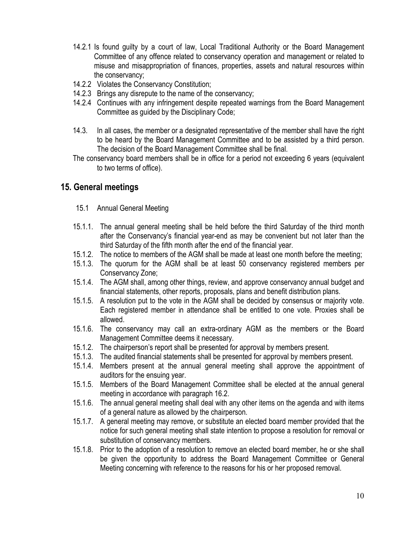- 14.2.1 Is found guilty by a court of law, Local Traditional Authority or the Board Management Committee of any offence related to conservancy operation and management or related to misuse and misappropriation of finances, properties, assets and natural resources within the conservancy;
- 14.2.2 Violates the Conservancy Constitution;
- 14.2.3 Brings any disrepute to the name of the conservancy;
- 14.2.4 Continues with any infringement despite repeated warnings from the Board Management Committee as guided by the Disciplinary Code;
- 14.3. In all cases, the member or a designated representative of the member shall have the right to be heard by the Board Management Committee and to be assisted by a third person. The decision of the Board Management Committee shall be final.
- The conservancy board members shall be in office for a period not exceeding 6 years (equivalent to two terms of office).

## **15. General meetings**

- 15.1 Annual General Meeting
- 15.1.1. The annual general meeting shall be held before the third Saturday of the third month after the Conservancy's financial year-end as may be convenient but not later than the third Saturday of the fifth month after the end of the financial year.
- 15.1.2. The notice to members of the AGM shall be made at least one month before the meeting;
- 15.1.3. The quorum for the AGM shall be at least 50 conservancy registered members per Conservancy Zone;
- 15.1.4. The AGM shall, among other things, review, and approve conservancy annual budget and financial statements, other reports, proposals, plans and benefit distribution plans.
- 15.1.5. A resolution put to the vote in the AGM shall be decided by consensus or majority vote. Each registered member in attendance shall be entitled to one vote. Proxies shall be allowed.
- 15.1.6. The conservancy may call an extra-ordinary AGM as the members or the Board Management Committee deems it necessary.
- 15.1.2. The chairperson's report shall be presented for approval by members present.
- 15.1.3. The audited financial statements shall be presented for approval by members present.
- 15.1.4. Members present at the annual general meeting shall approve the appointment of auditors for the ensuing year.
- 15.1.5. Members of the Board Management Committee shall be elected at the annual general meeting in accordance with paragraph 16.2.
- 15.1.6. The annual general meeting shall deal with any other items on the agenda and with items of a general nature as allowed by the chairperson.
- 15.1.7. A general meeting may remove, or substitute an elected board member provided that the notice for such general meeting shall state intention to propose a resolution for removal or substitution of conservancy members.
- 15.1.8. Prior to the adoption of a resolution to remove an elected board member, he or she shall be given the opportunity to address the Board Management Committee or General Meeting concerning with reference to the reasons for his or her proposed removal.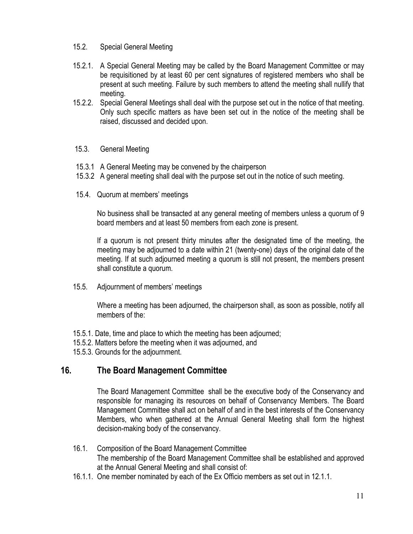- 15.2. Special General Meeting
- 15.2.1. A Special General Meeting may be called by the Board Management Committee or may be requisitioned by at least 60 per cent signatures of registered members who shall be present at such meeting. Failure by such members to attend the meeting shall nullify that meeting.
- 15.2.2. Special General Meetings shall deal with the purpose set out in the notice of that meeting. Only such specific matters as have been set out in the notice of the meeting shall be raised, discussed and decided upon.

#### 15.3. General Meeting

- 15.3.1 A General Meeting may be convened by the chairperson
- 15.3.2 A general meeting shall deal with the purpose set out in the notice of such meeting.
- 15.4. Quorum at members' meetings

No business shall be transacted at any general meeting of members unless a quorum of 9 board members and at least 50 members from each zone is present.

If a quorum is not present thirty minutes after the designated time of the meeting, the meeting may be adjourned to a date within 21 (twenty-one) days of the original date of the meeting. If at such adjourned meeting a quorum is still not present, the members present shall constitute a quorum.

15.5. Adjournment of members' meetings

Where a meeting has been adjourned, the chairperson shall, as soon as possible, notify all members of the:

- 15.5.1. Date, time and place to which the meeting has been adjourned;
- 15.5.2. Matters before the meeting when it was adjourned, and
- 15.5.3. Grounds for the adjournment.

# **16. The Board Management Committee**

The Board Management Committee shall be the executive body of the Conservancy and responsible for managing its resources on behalf of Conservancy Members. The Board Management Committee shall act on behalf of and in the best interests of the Conservancy Members, who when gathered at the Annual General Meeting shall form the highest decision-making body of the conservancy.

- 16.1. Composition of the Board Management Committee The membership of the Board Management Committee shall be established and approved at the Annual General Meeting and shall consist of:
- 16.1.1. One member nominated by each of the Ex Officio members as set out in 12.1.1.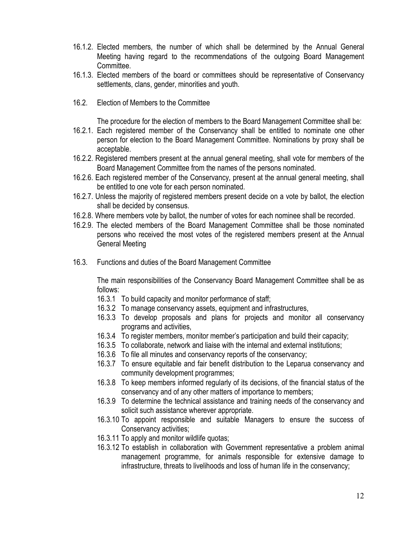- 16.1.2. Elected members, the number of which shall be determined by the Annual General Meeting having regard to the recommendations of the outgoing Board Management Committee.
- 16.1.3. Elected members of the board or committees should be representative of Conservancy settlements, clans, gender, minorities and youth.
- 16.2. Election of Members to the Committee

The procedure for the election of members to the Board Management Committee shall be:

- 16.2.1. Each registered member of the Conservancy shall be entitled to nominate one other person for election to the Board Management Committee. Nominations by proxy shall be acceptable.
- 16.2.2. Registered members present at the annual general meeting, shall vote for members of the Board Management Committee from the names of the persons nominated.
- 16.2.6. Each registered member of the Conservancy, present at the annual general meeting, shall be entitled to one vote for each person nominated.
- 16.2.7. Unless the majority of registered members present decide on a vote by ballot, the election shall be decided by consensus.
- 16.2.8. Where members vote by ballot, the number of votes for each nominee shall be recorded.
- 16.2.9. The elected members of the Board Management Committee shall be those nominated persons who received the most votes of the registered members present at the Annual General Meeting
- 16.3. Functions and duties of the Board Management Committee

The main responsibilities of the Conservancy Board Management Committee shall be as follows:

- 16.3.1 To build capacity and monitor performance of staff;
- 16.3.2 To manage conservancy assets, equipment and infrastructures,
- 16.3.3 To develop proposals and plans for projects and monitor all conservancy programs and activities,
- 16.3.4 To register members, monitor member's participation and build their capacity;
- 16.3.5 To collaborate, network and liaise with the internal and external institutions;
- 16.3.6 To file all minutes and conservancy reports of the conservancy;
- 16.3.7 To ensure equitable and fair benefit distribution to the Leparua conservancy and community development programmes;
- 16.3.8 To keep members informed regularly of its decisions, of the financial status of the conservancy and of any other matters of importance to members;
- 16.3.9 To determine the technical assistance and training needs of the conservancy and solicit such assistance wherever appropriate.
- 16.3.10 To appoint responsible and suitable Managers to ensure the success of Conservancy activities;
- 16.3.11 To apply and monitor wildlife quotas;
- 16.3.12 To establish in collaboration with Government representative a problem animal management programme, for animals responsible for extensive damage to infrastructure, threats to livelihoods and loss of human life in the conservancy;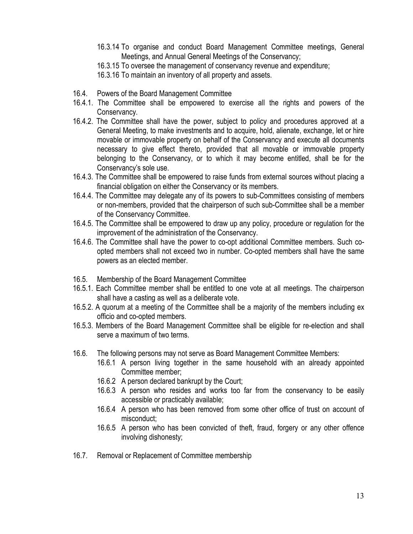- 16.3.14 To organise and conduct Board Management Committee meetings, General Meetings, and Annual General Meetings of the Conservancy;
- 16.3.15 To oversee the management of conservancy revenue and expenditure;
- 16.3.16 To maintain an inventory of all property and assets.
- 16.4. Powers of the Board Management Committee
- 16.4.1. The Committee shall be empowered to exercise all the rights and powers of the Conservancy.
- 16.4.2. The Committee shall have the power, subject to policy and procedures approved at a General Meeting, to make investments and to acquire, hold, alienate, exchange, let or hire movable or immovable property on behalf of the Conservancy and execute all documents necessary to give effect thereto, provided that all movable or immovable property belonging to the Conservancy, or to which it may become entitled, shall be for the Conservancy's sole use.
- 16.4.3. The Committee shall be empowered to raise funds from external sources without placing a financial obligation on either the Conservancy or its members.
- 16.4.4. The Committee may delegate any of its powers to sub-Committees consisting of members or non-members, provided that the chairperson of such sub-Committee shall be a member of the Conservancy Committee.
- 16.4.5. The Committee shall be empowered to draw up any policy, procedure or regulation for the improvement of the administration of the Conservancy.
- 16.4.6. The Committee shall have the power to co-opt additional Committee members. Such coopted members shall not exceed two in number. Co-opted members shall have the same powers as an elected member.
- 16.5. Membership of the Board Management Committee
- 16.5.1. Each Committee member shall be entitled to one vote at all meetings. The chairperson shall have a casting as well as a deliberate vote.
- 16.5.2. A quorum at a meeting of the Committee shall be a majority of the members including ex officio and co-opted members.
- 16.5.3. Members of the Board Management Committee shall be eligible for re-election and shall serve a maximum of two terms.
- 16.6. The following persons may not serve as Board Management Committee Members:
	- 16.6.1 A person living together in the same household with an already appointed Committee member;
	- 16.6.2 A person declared bankrupt by the Court;
	- 16.6.3 A person who resides and works too far from the conservancy to be easily accessible or practicably available;
	- 16.6.4 A person who has been removed from some other office of trust on account of misconduct;
	- 16.6.5 A person who has been convicted of theft, fraud, forgery or any other offence involving dishonesty;
- 16.7. Removal or Replacement of Committee membership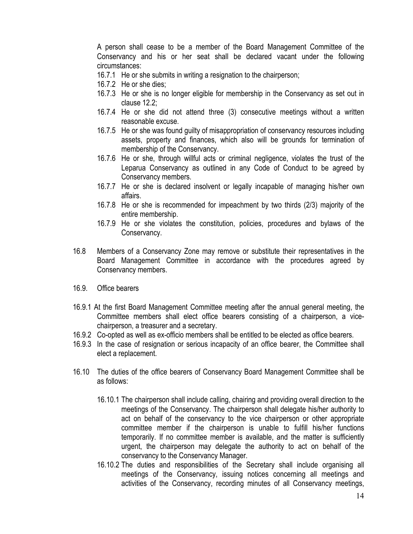A person shall cease to be a member of the Board Management Committee of the Conservancy and his or her seat shall be declared vacant under the following circumstances:

- 16.7.1 He or she submits in writing a resignation to the chairperson;
- 16.7.2 He or she dies;
- 16.7.3 He or she is no longer eligible for membership in the Conservancy as set out in clause 12.2;
- 16.7.4 He or she did not attend three (3) consecutive meetings without a written reasonable excuse.
- 16.7.5 He or she was found guilty of misappropriation of conservancy resources including assets, property and finances, which also will be grounds for termination of membership of the Conservancy.
- 16.7.6 He or she, through willful acts or criminal negligence, violates the trust of the Leparua Conservancy as outlined in any Code of Conduct to be agreed by Conservancy members.
- 16.7.7 He or she is declared insolvent or legally incapable of managing his/her own affairs.
- 16.7.8 He or she is recommended for impeachment by two thirds (2/3) majority of the entire membership.
- 16.7.9 He or she violates the constitution, policies, procedures and bylaws of the Conservancy.
- 16.8 Members of a Conservancy Zone may remove or substitute their representatives in the Board Management Committee in accordance with the procedures agreed by Conservancy members.
- 16.9. Office bearers
- 16.9.1 At the first Board Management Committee meeting after the annual general meeting, the Committee members shall elect office bearers consisting of a chairperson, a vicechairperson, a treasurer and a secretary.
- 16.9.2 Co-opted as well as ex-officio members shall be entitled to be elected as office bearers.
- 16.9.3 In the case of resignation or serious incapacity of an office bearer, the Committee shall elect a replacement.
- 16.10 The duties of the office bearers of Conservancy Board Management Committee shall be as follows:
	- 16.10.1 The chairperson shall include calling, chairing and providing overall direction to the meetings of the Conservancy. The chairperson shall delegate his/her authority to act on behalf of the conservancy to the vice chairperson or other appropriate committee member if the chairperson is unable to fulfill his/her functions temporarily. If no committee member is available, and the matter is sufficiently urgent, the chairperson may delegate the authority to act on behalf of the conservancy to the Conservancy Manager.
	- 16.10.2 The duties and responsibilities of the Secretary shall include organising all meetings of the Conservancy, issuing notices concerning all meetings and activities of the Conservancy, recording minutes of all Conservancy meetings,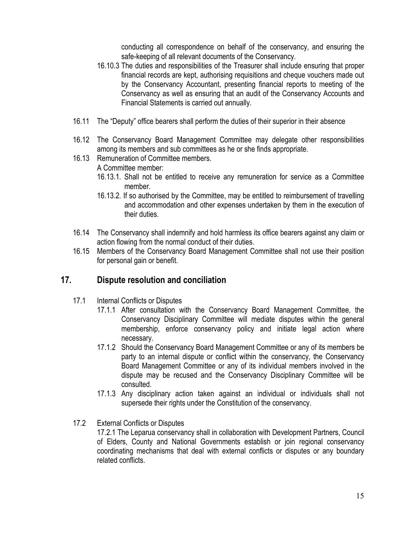conducting all correspondence on behalf of the conservancy, and ensuring the safe-keeping of all relevant documents of the Conservancy.

- 16.10.3 The duties and responsibilities of the Treasurer shall include ensuring that proper financial records are kept, authorising requisitions and cheque vouchers made out by the Conservancy Accountant, presenting financial reports to meeting of the Conservancy as well as ensuring that an audit of the Conservancy Accounts and Financial Statements is carried out annually.
- 16.11 The "Deputy" office bearers shall perform the duties of their superior in their absence
- 16.12 The Conservancy Board Management Committee may delegate other responsibilities among its members and sub committees as he or she finds appropriate.
- 16.13 Remuneration of Committee members. A Committee member:
	- 16.13.1. Shall not be entitled to receive any remuneration for service as a Committee member.
	- 16.13.2. If so authorised by the Committee, may be entitled to reimbursement of travelling and accommodation and other expenses undertaken by them in the execution of their duties.
- 16.14 The Conservancy shall indemnify and hold harmless its office bearers against any claim or action flowing from the normal conduct of their duties.
- 16.15 Members of the Conservancy Board Management Committee shall not use their position for personal gain or benefit.

# **17. Dispute resolution and conciliation**

- 17.1 Internal Conflicts or Disputes
	- 17.1.1 After consultation with the Conservancy Board Management Committee, the Conservancy Disciplinary Committee will mediate disputes within the general membership, enforce conservancy policy and initiate legal action where necessary.
	- 17.1.2 Should the Conservancy Board Management Committee or any of its members be party to an internal dispute or conflict within the conservancy, the Conservancy Board Management Committee or any of its individual members involved in the dispute may be recused and the Conservancy Disciplinary Committee will be consulted.
	- 17.1.3 Any disciplinary action taken against an individual or individuals shall not supersede their rights under the Constitution of the conservancy.
- 17.2 External Conflicts or Disputes

17.2.1 The Leparua conservancy shall in collaboration with Development Partners, Council of Elders, County and National Governments establish or join regional conservancy coordinating mechanisms that deal with external conflicts or disputes or any boundary related conflicts.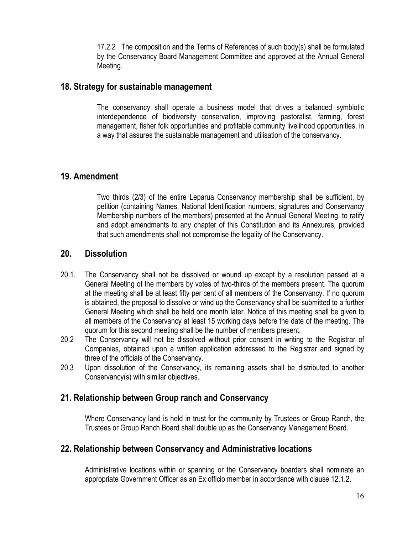17.2.2 The composition and the Terms of References of such body(s) shall be formulated by the Conservancy Board Management Committee and approved at the Annual General Meeting.

## **18. Strategy for sustainable management**

The conservancy shall operate a business model that drives a balanced symbiotic interdependence of biodiversity conservation, improving pastoralist, farming, forest management, fisher folk opportunities and profitable community livelihood opportunities, in a way that assures the sustainable management and utilisation of the conservancy.

## **19. Amendment**

Two thirds (2/3) of the entire Leparua Conservancy membership shall be sufficient, by petition (containing Names, National Identification numbers, signatures and Conservancy Membership numbers of the members) presented at the Annual General Meeting, to ratify and adopt amendments to any chapter of this Constitution and its Annexures, provided that such amendments shall not compromise the legality of the Conservancy.

## **20. Dissolution**

- 20.1. The Conservancy shall not be dissolved or wound up except by a resolution passed at a General Meeting of the members by votes of two-thirds of the members present. The quorum at the meeting shall be at least fifty per cent of all members of the Conservancy. If no quorum is obtained, the proposal to dissolve or wind up the Conservancy shall be submitted to a further General Meeting which shall be held one month later. Notice of this meeting shall be given to all members of the Conservancy at least 15 working days before the date of the meeting. The quorum for this second meeting shall be the number of members present.
- 20.2 The Conservancy will not be dissolved without prior consent in writing to the Registrar of Companies, obtained upon a written application addressed to the Registrar and signed by three of the officials of the Conservancy.
- 20.3 Upon dissolution of the Conservancy, its remaining assets shall be distributed to another Conservancy(s) with similar objectives.

# **21. Relationship between Group ranch and Conservancy**

Where Conservancy land is held in trust for the community by Trustees or Group Ranch, the Trustees or Group Ranch Board shall double up as the Conservancy Management Board.

# **22. Relationship between Conservancy and Administrative locations**

Administrative locations within or spanning or the Conservancy boarders shall nominate an appropriate Government Officer as an Ex officio member in accordance with clause 12.1.2.